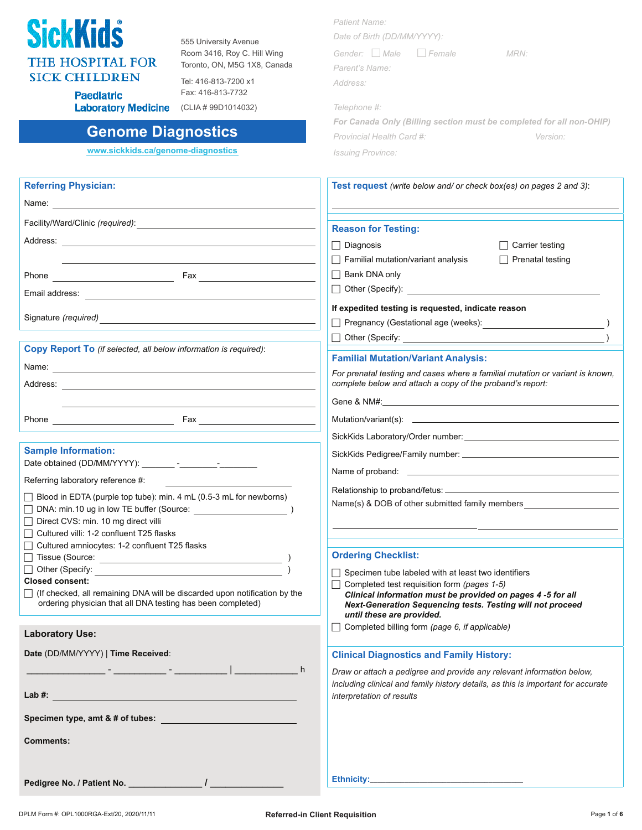

**Paediatric** 

555 University Avenue Room 3416, Roy C. Hill Wing Toronto, ON, M5G 1X8, Canada

Tel: 416-813-7200 x1 Fax: 416-813-7732 **Laboratory Medicine** (CLIA # 99D1014032)

### **Genome Diagnostics**

**www.sickkids.ca/genome-diagnostics**

| Date of Birth (DD/MM/YYYY): |  |      |  |  |  |  |  |  |
|-----------------------------|--|------|--|--|--|--|--|--|
| Gender: Male Female         |  | MRN: |  |  |  |  |  |  |
| Parent's Name:              |  |      |  |  |  |  |  |  |
| Address:                    |  |      |  |  |  |  |  |  |
| Telephone #:                |  |      |  |  |  |  |  |  |
|                             |  |      |  |  |  |  |  |  |

*Patient Name:*

|                           | For Canada Only (Billing section must be completed for all non-OHIP) |
|---------------------------|----------------------------------------------------------------------|
| Provincial Health Card #: | <i>Version:</i>                                                      |
| <b>Issuing Province:</b>  |                                                                      |

| <b>Referring Physician:</b>                                                                                                                                        | <b>Test request</b> (write below and/ or check box(es) on pages 2 and 3):                                                                                                                                                          |
|--------------------------------------------------------------------------------------------------------------------------------------------------------------------|------------------------------------------------------------------------------------------------------------------------------------------------------------------------------------------------------------------------------------|
|                                                                                                                                                                    |                                                                                                                                                                                                                                    |
|                                                                                                                                                                    | <b>Reason for Testing:</b>                                                                                                                                                                                                         |
|                                                                                                                                                                    |                                                                                                                                                                                                                                    |
|                                                                                                                                                                    | $\Box$ Diagnosis<br>$\Box$ Carrier testing                                                                                                                                                                                         |
|                                                                                                                                                                    | $\Box$ Familial mutation/variant analysis<br>$\Box$ Prenatal testing                                                                                                                                                               |
|                                                                                                                                                                    | $\Box$ Bank DNA only                                                                                                                                                                                                               |
|                                                                                                                                                                    | Other (Specify): <u>_________________________________</u>                                                                                                                                                                          |
|                                                                                                                                                                    | If expedited testing is requested, indicate reason                                                                                                                                                                                 |
|                                                                                                                                                                    | □ Pregnancy (Gestational age (weeks): <u>[1994]</u> [2012] [2012] [2012] [2012] [2012] [2012] [2012] [2012] [2012] [2012] [2012] [2012] [2012] [2012] [2012] [2012] [2012] [2012] [2012] [2012] [2012] [2012] [2012] [2012] [2012] |
|                                                                                                                                                                    |                                                                                                                                                                                                                                    |
| <b>Copy Report To</b> (if selected, all below information is required):                                                                                            |                                                                                                                                                                                                                                    |
|                                                                                                                                                                    | <b>Familial Mutation/Variant Analysis:</b>                                                                                                                                                                                         |
|                                                                                                                                                                    | For prenatal testing and cases where a familial mutation or variant is known,<br>complete below and attach a copy of the proband's report:                                                                                         |
|                                                                                                                                                                    |                                                                                                                                                                                                                                    |
|                                                                                                                                                                    |                                                                                                                                                                                                                                    |
|                                                                                                                                                                    |                                                                                                                                                                                                                                    |
| <b>Sample Information:</b>                                                                                                                                         |                                                                                                                                                                                                                                    |
|                                                                                                                                                                    |                                                                                                                                                                                                                                    |
| Referring laboratory reference #:                                                                                                                                  |                                                                                                                                                                                                                                    |
| $\Box$ Blood in EDTA (purple top tube): min. 4 mL (0.5-3 mL for newborns)                                                                                          |                                                                                                                                                                                                                                    |
| DNA: min.10 ug in low TE buffer (Source: )                                                                                                                         | Name(s) & DOB of other submitted family members                                                                                                                                                                                    |
| Direct CVS: min. 10 mg direct villi                                                                                                                                |                                                                                                                                                                                                                                    |
| Cultured villi: 1-2 confluent T25 flasks                                                                                                                           |                                                                                                                                                                                                                                    |
| Cultured amniocytes: 1-2 confluent T25 flasks                                                                                                                      |                                                                                                                                                                                                                                    |
|                                                                                                                                                                    | <b>Ordering Checklist:</b>                                                                                                                                                                                                         |
|                                                                                                                                                                    | $\Box$ Specimen tube labeled with at least two identifiers                                                                                                                                                                         |
| <b>Closed consent:</b><br>(If checked, all remaining DNA will be discarded upon notification by the<br>ordering physician that all DNA testing has been completed) | $\Box$ Completed test requisition form (pages 1-5)<br>Clinical information must be provided on pages 4 -5 for all<br>Next-Generation Sequencing tests. Testing will not proceed                                                    |
|                                                                                                                                                                    | until these are provided.<br>$\Box$ Completed billing form (page 6, if applicable)                                                                                                                                                 |
| <b>Laboratory Use:</b>                                                                                                                                             |                                                                                                                                                                                                                                    |
| Date (DD/MM/YYYY)   Time Received:                                                                                                                                 | <b>Clinical Diagnostics and Family History:</b>                                                                                                                                                                                    |
| h                                                                                                                                                                  | Draw or attach a pedigree and provide any relevant information below,                                                                                                                                                              |
|                                                                                                                                                                    | including clinical and family history details, as this is important for accurate                                                                                                                                                   |
| Lab #: www.astronometer.com/web/2010/07/2010                                                                                                                       | interpretation of results                                                                                                                                                                                                          |
| Specimen type, amt & # of tubes:                                                                                                                                   |                                                                                                                                                                                                                                    |
| <b>Comments:</b>                                                                                                                                                   |                                                                                                                                                                                                                                    |
|                                                                                                                                                                    |                                                                                                                                                                                                                                    |

Pedigree No. / Patient No. \_\_\_\_\_\_\_\_\_\_\_\_\_\_\_\_\_\_\_\_ /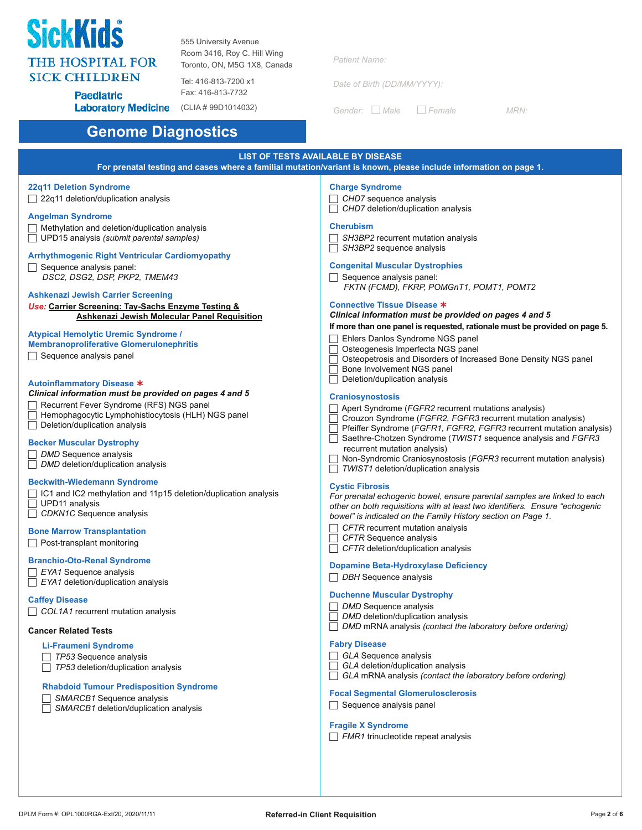

**Paediatric** 

555 University Avenue Room 3416, Roy C. Hill Wing Toronto, ON, M5G 1X8, Canada

Tel: 416-813-7200 x1 Fax: 416-813-7732

**Laboratory Medicine** (CLIA # 99D1014032)

| <b>Patient Name:</b> |  |  |  |  |  |  |
|----------------------|--|--|--|--|--|--|
|                      |  |  |  |  |  |  |

*Date of Birth (DD/MM/YYYY):*

*Gender: Male Female MRN:*

### **Genome Diagnostics**

### **LIST OF TESTS AVAILABLE BY DISEASE**

**For prenatal testing and cases where a familial mutation/variant is known, please include information on page 1.**

#### **22q11 Deletion Syndrome**

 $\Box$  22q11 deletion/duplication analysis

#### **Angelman Syndrome**

- $\Box$  Methylation and deletion/duplication analysis
- UPD15 analysis *(submit parental samples)*

#### **Arrhythmogenic Right Ventricular Cardiomyopathy**

 $\Box$  Sequence analysis panel: *DSC2, DSG2, DSP, PKP2, TMEM43*

#### **Ashkenazi Jewish Carrier Screening**

*Use:* **Carrier Screening: Tay-Sachs Enzyme Testing & Ashkenazi Jewish Molecular Panel Requisition**

#### **Atypical Hemolytic Uremic Syndrome /**

#### **Membranoproliferative Glomerulonephritis**

 $\Box$  Sequence analysis panel

#### **Autoinflammatory Disease**

#### *Clinical information must be provided on pages 4 and 5*

- Recurrent Fever Syndrome (RFS) NGS panel
- $\Box$  Hemophagocytic Lymphohistiocytosis (HLH) NGS panel
- $\Box$  Deletion/duplication analysis

#### **Becker Muscular Dystrophy**

- *DMD* Sequence analysis
- *DMD* deletion/duplication analysis

#### **Beckwith-Wiedemann Syndrome**

- □ IC1 and IC2 methylation and 11p15 deletion/duplication analysis UPD11 analysis *CDKN1C* Sequence analysis
- 

#### **Bone Marrow Transplantation**

 $\Box$  Post-transplant monitoring

#### **Branchio-Oto-Renal Syndrome**

- *EYA1* Sequence analysis *EYA1* deletion/duplication analysis
- **Caffey Disease**

*COL1A1* recurrent mutation analysis

#### **Cancer Related Tests**

### **Li-Fraumeni Syndrome**

- *TP53* Sequence analysis
- **TP53** deletion/duplication analysis

#### **Rhabdoid Tumour Predisposition Syndrome**

- *SMARCB1* Sequence analysis
- **SMARCB1** deletion/duplication analysis

#### **Charge Syndrome**

 *CHD7* sequence analysis *CHD7* deletion/duplication analysis

#### **Cherubism**

- *SH3BP2* recurrent mutation analysis
- *SH3BP2* sequence analysis

#### **Congenital Muscular Dystrophies**

 $\Box$  Sequence analysis panel: *FKTN (FCMD), FKRP, POMGnT1, POMT1, POMT2*

#### **Connective Tissue Disease**

#### *Clinical information must be provided on pages 4 and 5* **If more than one panel is requested, rationale must be provided on page 5.**

- Ehlers Danlos Syndrome NGS panel
- Osteogenesis Imperfecta NGS panel
- Osteopetrosis and Disorders of Increased Bone Density NGS panel
- Bone Involvement NGS panel
- $\overline{\Box}$  Deletion/duplication analysis

#### **Craniosynostosis**

- Apert Syndrome (*FGFR2* recurrent mutations analysis)
- Crouzon Syndrome (*FGFR2, FGFR3* recurrent mutation analysis)
- Pfeiffer Syndrome (*FGFR1, FGFR2, FGFR3* recurrent mutation analysis)
- Saethre-Chotzen Syndrome (*TWIST1* sequence analysis and *FGFR3* recurrent mutation analysis)
- Non-Syndromic Craniosynostosis (*FGFR3* recurrent mutation analysis)
- **TWIST1** deletion/duplication analysis

#### **Cystic Fibrosis**

| For prenatal echogenic bowel, ensure parental samples are linked to each    |
|-----------------------------------------------------------------------------|
| other on both requisitions with at least two identifiers. Ensure "echogenic |
| bowel" is indicated on the Family History section on Page 1.                |

- *CFTR* recurrent mutation analysis
- *CFTR* Sequence analysis
- *CFTR* deletion/duplication analysis

#### **Dopamine Beta-Hydroxylase Deficiency**

*DBH* Sequence analysis

#### **Duchenne Muscular Dystrophy**

- *DMD* Sequence analysis
- *DMD* deletion/duplication analysis
- *DMD* mRNA analysis *(contact the laboratory before ordering)*

#### **Fabry Disease**

- *GLA* Sequence analysis
- *GLA* deletion/duplication analysis
- *GLA* mRNA analysis *(contact the laboratory before ordering)*

#### **Focal Segmental Glomerulosclerosis**

 $\Box$  Sequence analysis panel

#### **Fragile X Syndrome**

*FMR1* trinucleotide repeat analysis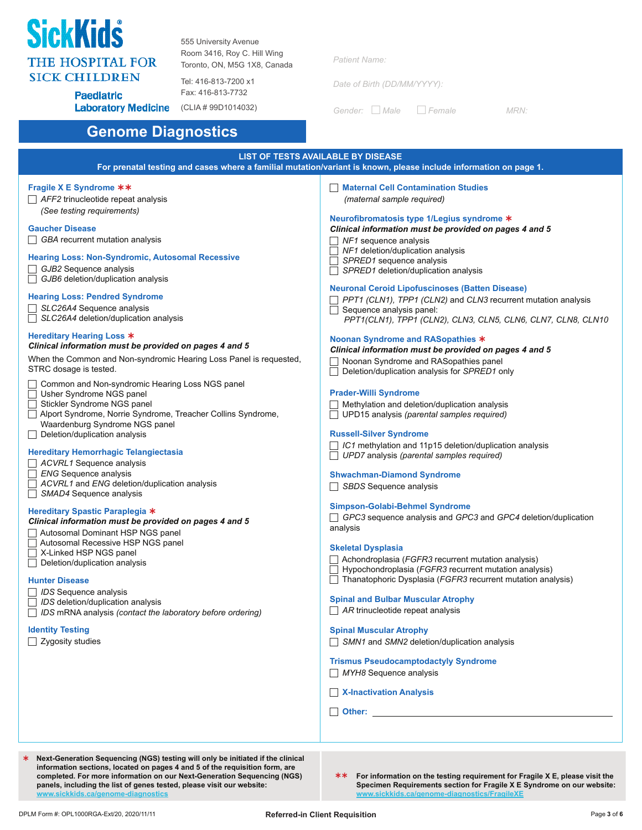

**Gaucher Disease**

555 University Avenue Room 3416, Roy C. Hill Wing Toronto, ON, M5G 1X8, Canada

**Paediatric Laboratory Medicine** (CLIA # 99D1014032)

Tel: 416-813-7200 x1 Fax: 416-813-7732

| <b>Patient Name:</b> |  |  |  |
|----------------------|--|--|--|

*Date of Birth (DD/MM/YYYY):*

*Gender: Male Female MRN:*

### **Genome Diagnostics**

#### **LIST OF TESTS AVAILABLE BY DISEASE For prenatal testing and cases where a familial mutation/variant is known, please include information on page 1. Fragile X E Syndrome**  *AFF2* trinucleotide repeat analysis *(See testing requirements) GBA* recurrent mutation analysis **Hearing Loss: Non-Syndromic, Autosomal Recessive** *GJB2* Sequence analysis *GJB6* deletion/duplication analysis **Hearing Loss: Pendred Syndrome** *SLC26A4* Sequence analysis *SLC26A4* deletion/duplication analysis **Hereditary Hearing Loss**  *Clinical information must be provided on pages 4 and 5*  When the Common and Non-syndromic Hearing Loss Panel is requested, STRC dosage is tested. □ Common and Non-syndromic Hearing Loss NGS panel Usher Syndrome NGS panel Stickler Syndrome NGS panel Alport Syndrome, Norrie Syndrome, Treacher Collins Syndrome, Waardenburg Syndrome NGS panel  $\Box$  Deletion/duplication analysis **Hereditary Hemorrhagic Telangiectasia** *ACVRL1* Sequence analysis *ENG* Sequence analysis *ACVRL1* and *ENG* deletion/duplication analysis *SMAD4* Sequence analysis **Hereditary Spastic Paraplegia** *Clinical information must be provided on pages 4 and 5*  Autosomal Dominant HSP NGS panel Autosomal Recessive HSP NGS panel **Maternal Cell Contamination Studies** *(maternal sample required)* **Neurofibromatosis type 1/Legius syndrome** *Clinical information must be provided on pages 4 and 5 NF1* sequence analysis *NF1* deletion/duplication analysis *SPRED1* sequence analysis **SPRED1** deletion/duplication analysis **Neuronal Ceroid Lipofuscinoses (Batten Disease)**  $\Box$  Sequence analysis panel: **Noonan Syndrome and RASopathies** *Clinical information must be provided on pages 4 and 5*  Noonan Syndrome and RASopathies panel Deletion/duplication analysis for *SPRED1* only **Prader-Willi Syndrome** Methylation and deletion/duplication analysis UPD15 analysis *(parental samples required)* **Russell-Silver Syndrome** *IC1* methylation and 11p15 deletion/duplication analysis *UPD7* analysis *(parental samples required)* **Shwachman-Diamond Syndrome** *SBDS* Sequence analysis **Simpson-Golabi-Behmel Syndrome** analysis **Skeletal Dysplasia**

- X-Linked HSP NGS panel  $\overline{\Box}$  Deletion/duplication analysis
- **Hunter Disease**
- *IDS* Sequence analysis
- *IDS* deletion/duplication analysis
- *IDS* mRNA analysis *(contact the laboratory before ordering)*

#### **Identity Testing**

 $\Box$  Zygosity studies

*PPT1 (CLN1), TPP1 (CLN2)* and *CLN3* recurrent mutation analysis

*PPT1(CLN1), TPP1 (CLN2), CLN3, CLN5, CLN6, CLN7, CLN8, CLN10*

*GPC3* sequence analysis and *GPC3* and *GPC4* deletion/duplication

- Achondroplasia (*FGFR3* recurrent mutation analysis)
- Hypochondroplasia (*FGFR3* recurrent mutation analysis)
- Thanatophoric Dysplasia (*FGFR3* recurrent mutation analysis)

#### **Spinal and Bulbar Muscular Atrophy**

*AR* trinucleotide repeat analysis

#### **Spinal Muscular Atrophy**

*SMN1* and *SMN2* deletion/duplication analysis

#### **Trismus Pseudocamptodactyly Syndrome**

*MYH8* Sequence analysis

#### **X-Inactivation Analysis**

- **Other: Other: Other: Other: Other: Other: Other: Other: Other: Other: Other: Other: Other: Other: Other: Other: Other: Other: Other: Other: Other: Other: Other: Other: Other**
- **Next-Generation Sequencing (NGS) testing will only be initiated if the clinical information sections, located on pages 4 and 5 of the requisition form, are completed. For more information on our Next-Generation Sequencing (NGS) panels, including the list of genes tested, please visit our website:** www.sickkids.c
- **\*\*** For information on the testing requirement for Fragile X E, please visit the **Specimen Requirements section for Fragile X E Syndrome on our website: watercome-diagnostics/Fragilery**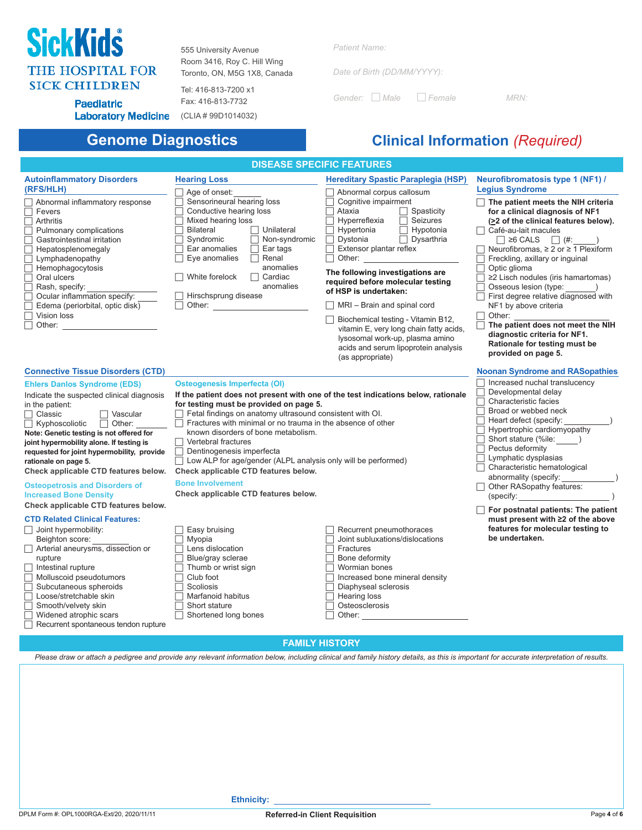# **SickKids THE HOSPITAL FOR SICK CHILDREN**

555 University Avenue Room 3416, Roy C. Hill Wing Toronto, ON, M5G 1X8, Canada

Tel: 416-813-7200 x1 Fax: 416-813-7732

*Patient Name:*

*Date of Birth (DD/MM/YYYY):*

*Gender: Male Female MRN:*

**Paediatric** Laboratory Medicine (CLIA # 99D1014032)

# **Genome Diagnostics Clinical Information** *(Required)*

| <b>DISEASE SPECIFIC FEATURES</b>                                                                                                                                                                                                                                                                                                                                                                                                                                                                                                                                                                                                                                                                                                                                                                                                                                                                       |                                                                                                                                                                                                                                                                                                                                                                                                                                                                                                                                                                                                                                                                                                                                                                      |                                                                                                                                                                                                                                                                                                                                                                                                                                                                                                                                                                                                                                      |                                                                                                                                                                                                                                                                                                                                                                                                                                                                                                                                                                                                                        |  |  |  |
|--------------------------------------------------------------------------------------------------------------------------------------------------------------------------------------------------------------------------------------------------------------------------------------------------------------------------------------------------------------------------------------------------------------------------------------------------------------------------------------------------------------------------------------------------------------------------------------------------------------------------------------------------------------------------------------------------------------------------------------------------------------------------------------------------------------------------------------------------------------------------------------------------------|----------------------------------------------------------------------------------------------------------------------------------------------------------------------------------------------------------------------------------------------------------------------------------------------------------------------------------------------------------------------------------------------------------------------------------------------------------------------------------------------------------------------------------------------------------------------------------------------------------------------------------------------------------------------------------------------------------------------------------------------------------------------|--------------------------------------------------------------------------------------------------------------------------------------------------------------------------------------------------------------------------------------------------------------------------------------------------------------------------------------------------------------------------------------------------------------------------------------------------------------------------------------------------------------------------------------------------------------------------------------------------------------------------------------|------------------------------------------------------------------------------------------------------------------------------------------------------------------------------------------------------------------------------------------------------------------------------------------------------------------------------------------------------------------------------------------------------------------------------------------------------------------------------------------------------------------------------------------------------------------------------------------------------------------------|--|--|--|
| <b>Autoinflammatory Disorders</b><br>(RFS/HLH)<br>Abnormal inflammatory response<br>Fevers<br>Arthritis<br>Pulmonary complications<br>Gastrointestinal irritation<br>Hepatosplenomegaly<br>Lymphadenopathy<br>Hemophagocytosis<br>Oral ulcers<br>Rash, specify:<br>Ocular inflammation specify:<br>Edema (periorbital, optic disk)<br>Vision loss<br>Other: $\_\_$                                                                                                                                                                                                                                                                                                                                                                                                                                                                                                                                     | <b>Hearing Loss</b><br>Age of onset:<br>Sensorineural hearing loss<br>Conductive hearing loss<br>Mixed hearing loss<br>Bilateral<br>$\Box$ Unilateral<br>Syndromic<br>$\Box$ Non-syndromic<br>Ear anomalies<br>$\Box$ Ear tags<br>Eye anomalies<br>$\Box$ Renal<br>anomalies<br>White forelock<br>$\Box$ Cardiac<br>anomalies<br>Hirschsprung disease                                                                                                                                                                                                                                                                                                                                                                                                                | <b>Hereditary Spastic Paraplegia (HSP)</b><br>$\Box$ Abnormal corpus callosum<br>Cognitive impairment<br>Ataxia<br>$\Box$ Spasticity<br>Hyperreflexia<br>$\Box$ Seizures<br>$\Box$ Hypertonia<br>$\Box$ Hypotonia<br>$\Box$ Dysarthria<br>Dystonia<br>$\Box$ Extensor plantar reflex<br>$\Box$ Other:<br>The following investigations are<br>required before molecular testing<br>of HSP is undertaken:<br>$\Box$ MRI – Brain and spinal cord<br>$\Box$ Biochemical testing - Vitamin B12,<br>vitamin E, very long chain fatty acids,<br>lysosomal work-up, plasma amino<br>acids and serum lipoprotein analysis<br>(as appropriate) | Neurofibromatosis type 1 (NF1) /<br><b>Legius Syndrome</b><br>$\Box$ The patient meets the NIH criteria<br>for a clinical diagnosis of NF1<br>(≥2 of the clinical features below).<br>$\Box$ Café-au-lait macules<br>$\Box$ ≥6 CALS $\Box$ (#:<br>$\Box$ Neurofibromas, ≥ 2 or ≥ 1 Plexiform<br>Freckling, axillary or inguinal<br>Optic glioma<br>≥2 Lisch nodules (iris hamartomas)<br>Osseous lesion (type:<br>First degree relative diagnosed with<br>NF1 by above criteria<br>Other:<br>The patient does not meet the NIH<br>diagnostic criteria for NF1.<br>Rationale for testing must be<br>provided on page 5. |  |  |  |
| <b>Connective Tissue Disorders (CTD)</b><br><b>Ehlers Danlos Syndrome (EDS)</b><br>Indicate the suspected clinical diagnosis<br>in the patient:<br>$\Box$ Classic<br>$\Box$ Vascular<br>$\Box$ Other:<br>$\Box$ Kyphoscoliotic<br>Note: Genetic testing is not offered for<br>joint hypermobility alone. If testing is<br>requested for joint hypermobility, provide<br>rationale on page 5.<br>Check applicable CTD features below.<br><b>Osteopetrosis and Disorders of</b><br><b>Increased Bone Density</b><br>Check applicable CTD features below.<br><b>CTD Related Clinical Features:</b><br>$\Box$ Joint hypermobility:<br>Beighton score:<br>Arterial aneurysms, dissection or<br>rupture<br>$\Box$ Intestinal rupture<br>Molluscoid pseudotumors<br>Subcutaneous spheroids<br>Loose/stretchable skin<br>Smooth/velvety skin<br>Widened atrophic scars<br>Recurrent spontaneous tendon rupture | <b>Osteogenesis Imperfecta (OI)</b><br>If the patient does not present with one of the test indications below, rationale<br>for testing must be provided on page 5.<br>Fetal findings on anatomy ultrasound consistent with OI.<br>Fractures with minimal or no trauma in the absence of other<br>known disorders of bone metabolism.<br>Vertebral fractures<br>L<br>Dentinogenesis imperfecta<br>$\Box$ Low ALP for age/gender (ALPL analysis only will be performed)<br>Check applicable CTD features below.<br><b>Bone Involvement</b><br>Check applicable CTD features below.<br>Easy bruising<br>Myopia<br>Lens dislocation<br>Blue/gray sclerae<br>Thumb or wrist sign<br>Club foot<br>Scoliosis<br>Marfanoid habitus<br>Short stature<br>Shortened long bones | Recurrent pneumothoraces<br>Joint subluxations/dislocations<br>Fractures<br>Bone deformity<br>Wormian bones<br>Increased bone mineral density<br>Diaphyseal sclerosis<br>Hearing loss<br>Osteosclerosis<br>Other: the contract of the contract of the contract of the contract of the contract of the contract of the contract of the contract of the contract of the contract of the contract of the contract of the contract of the con                                                                                                                                                                                            | <b>Noonan Syndrome and RASopathies</b><br>$\Box$ Increased nuchal translucency<br>Developmental delay<br>Characteristic facies<br>Broad or webbed neck<br>Heart defect (specify:<br>Hypertrophic cardiomyopathy<br>Short stature (%ile: )<br>Pectus deformity<br>Lymphatic dysplasias<br>Characteristic hematological<br>abnormality (specify:<br>Other RASopathy features:<br>(specify:<br>For postnatal patients: The patient<br>must present with ≥2 of the above<br>features for molecular testing to<br>be undertaken.                                                                                            |  |  |  |
| <b>FAMILY HISTORY</b>                                                                                                                                                                                                                                                                                                                                                                                                                                                                                                                                                                                                                                                                                                                                                                                                                                                                                  |                                                                                                                                                                                                                                                                                                                                                                                                                                                                                                                                                                                                                                                                                                                                                                      |                                                                                                                                                                                                                                                                                                                                                                                                                                                                                                                                                                                                                                      |                                                                                                                                                                                                                                                                                                                                                                                                                                                                                                                                                                                                                        |  |  |  |

*Please draw or attach a pedigree and provide any relevant information below, including clinical and family history details, as this is important for accurate interpretation of results.*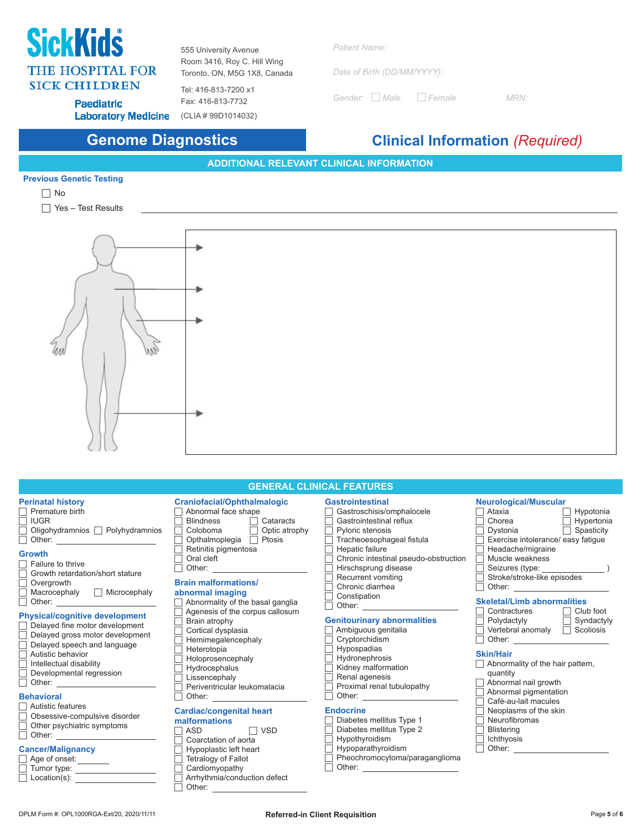# **SickKids THE HOSPITAL FOR SICK CHILDREN**

555 University Avenue Room 3416, Roy C. Hill Wing Toronto, ON, M5G 1X8, Canada

Tel: 416-813-7200 x1 Fax: 416-813-7732

*Patient Name:*

*Date of Birth (DD/MM/YYYY):*

*Gender: Male Female MRN:*

**Paediatric** 

Laboratory Medicine (CLIA # 99D1014032)

# **Genome Diagnostics Clinical Information** *(Required)*

**ADDITIONAL RELEVANT CLINICAL INFORMATION**

### **Previous Genetic Testing**



□ Yes – Test Results



| <b>GENERAL CLINICAL FEATURES</b>                                                                                                                                                                                                                                                                                                                                                                                                                                                                                                                                                                                                                                                                                                                                                                                                                                                                                                             |                                                                                                                                                                                                                                                                                                                                                                                                                                                                                                                                                                                                                                                                                                                                               |                                                                                                                                                                                                                                                                                                                                                                                                                                                                                                                                                                                                                                                                     |                                                                                                                                                                                                                                                                                                                                                                                                                                                                                                                                                                                                                                                                                                                                                                                                                                                                                                                                                     |  |  |  |
|----------------------------------------------------------------------------------------------------------------------------------------------------------------------------------------------------------------------------------------------------------------------------------------------------------------------------------------------------------------------------------------------------------------------------------------------------------------------------------------------------------------------------------------------------------------------------------------------------------------------------------------------------------------------------------------------------------------------------------------------------------------------------------------------------------------------------------------------------------------------------------------------------------------------------------------------|-----------------------------------------------------------------------------------------------------------------------------------------------------------------------------------------------------------------------------------------------------------------------------------------------------------------------------------------------------------------------------------------------------------------------------------------------------------------------------------------------------------------------------------------------------------------------------------------------------------------------------------------------------------------------------------------------------------------------------------------------|---------------------------------------------------------------------------------------------------------------------------------------------------------------------------------------------------------------------------------------------------------------------------------------------------------------------------------------------------------------------------------------------------------------------------------------------------------------------------------------------------------------------------------------------------------------------------------------------------------------------------------------------------------------------|-----------------------------------------------------------------------------------------------------------------------------------------------------------------------------------------------------------------------------------------------------------------------------------------------------------------------------------------------------------------------------------------------------------------------------------------------------------------------------------------------------------------------------------------------------------------------------------------------------------------------------------------------------------------------------------------------------------------------------------------------------------------------------------------------------------------------------------------------------------------------------------------------------------------------------------------------------|--|--|--|
| <b>Perinatal history</b><br>Premature birth<br>Г<br><b>IUGR</b><br>Oligohydramnios   Polyhydramnios<br>□<br>Other: and the contract of the contract of the contract of the contract of the contract of the contract of the contract of the contract of the contract of the contract of the contract of the contract of the contract of the<br><b>Growth</b><br>Failure to thrive<br>Growth retardation/short stature<br>Overgrowth<br>$Macrocephaly$ $\Box$ Microcephaly<br><b>Physical/cognitive development</b><br>Delayed fine motor development<br>Delayed gross motor development<br>Г<br>Delayed speech and language<br>Autistic behavior<br>Intellectual disability<br>Developmental regression<br><b>Behavioral</b><br>Autistic features<br>Obsessive-compulsive disorder<br>Г<br>Other psychiatric symptoms<br>Г<br><b>Cancer/Malignancy</b><br>Age of onset: _______<br>$\Box$ Tumor type: ____________________<br>$Location(s)$ : | <b>Craniofacial/Ophthalmalogic</b><br>Abnormal face shape<br>$\Box$ Cataracts<br><b>Blindness</b><br>Coloboma<br>$\Box$ Optic atrophy<br>г<br>Opthalmoplegia □ Ptosis<br>Retinitis pigmentosa<br>Oral cleft<br><b>Brain malformations/</b><br>abnormal imaging<br>Abnormality of the basal ganglia<br>$\overline{a}$<br>Agenesis of the corpus callosum<br>Brain atrophy<br>Cortical dysplasia<br>Hemimegalencephaly<br>Heterotopia<br>Holoprosencephaly<br>Hydrocephalus<br>Lissencephaly<br>Periventricular leukomalacia<br><b>Cardiac/congenital heart</b><br>malformations<br>$\Box$ VSD<br>ASD<br>Coarctation of aorta<br>Hypoplastic left heart<br>Tetralogy of Fallot<br>Cardiomyopathy<br>Arrhythmia/conduction defect<br>Other: $\_$ | <b>Gastrointestinal</b><br>Gastroschisis/omphalocele<br>Gastrointestinal reflux<br>Pyloric stenosis<br>Tracheoesophageal fistula<br>Hepatic failure<br>Chronic intestinal pseudo-obstruction<br>Hirschsprung disease<br>Recurrent vomiting<br>Chronic diarrhea<br>Constipation<br><b>Genitourinary abnormalities</b><br>Ambiguous genitalia<br>Cryptorchidism<br>Hypospadias<br>Hydronephrosis<br>Kidney malformation<br>Renal agenesis<br>Proximal renal tubulopathy<br><b>Endocrine</b><br>Diabetes mellitus Type 1<br>Diabetes mellitus Type 2<br>Hypothyroidism<br>Hypoparathyroidism<br>Pheochromocytoma/paraganglioma<br>Other: <u>______________________</u> | <b>Neurological/Muscular</b><br>$\Box$ Ataxia<br>$\Box$ Hypotonia<br>Chorea<br>$\Box$ Hypertonia<br>$\Box$ Spasticity<br>Dystonia<br>Exercise intolerance/ easy fatigue<br>Headache/migraine<br>Muscle weakness<br>Seizures (type:<br>Stroke/stroke-like episodes<br>Other: <u>__________________________________</u><br><b>Skeletal/Limb abnormalities</b><br>Contractures<br>$\Box$ Club foot<br>Polydactyly <b>Syndactyly</b><br>Vertebral anomaly<br>$\Box$ Scoliosis<br>Other: the contract of the contract of the contract of the contract of the contract of the contract of the contract of the contract of the contract of the contract of the contract of the contract of the contract of the con<br><b>Skin/Hair</b><br>$\Box$ Abnormality of the hair pattern,<br>quantity<br>$\Box$ Abnormal nail growth<br>Abnormal pigmentation<br>Café-au-lait macules<br>Neoplasms of the skin<br>Neurofibromas<br><b>Blistering</b><br>Ichthyosis |  |  |  |